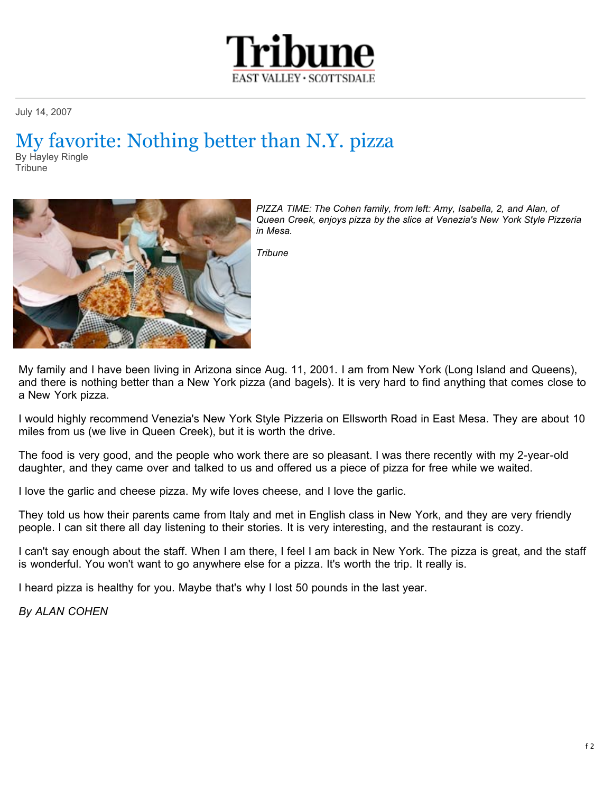

July 14, 2007

## My favorite: Nothing [better than N.Y. pizza](http://license.icopyright.net/user/external.act?publication_id=7220) By Hayley Ringle

**Tribune** 



*PIZZA TIME: The Cohen family, from left: Amy, Isabella, 2, and Alan, of Queen Creek, enjoys pizza by the slice at Venezia's New York Style Pizzeria in Mesa.*

*Tribune*

My family and I have been living in Arizona since Aug. 11, 2001. I am from New York (Long Island and Queens), and there is nothing better than a New York pizza (and bagels). It is very hard to find anything that comes close to a New York pizza.

I would highly recommend Venezia's New York Style Pizzeria on Ellsworth Road in East Mesa. They are about 10 miles from us (we live in Queen Creek), but it is worth the drive.

The food is very good, and the people who work there are so pleasant. I was there recently with my 2-year-old daughter, and they came over and talked to us and offered us a piece of pizza for free while we waited.

I love the garlic and cheese pizza. My wife loves cheese, and I love the garlic.

They told us how their parents came from Italy and met in English class in New York, and they are very friendly people. I can sit there all day listening to their stories. It is very interesting, and the restaurant is cozy.

I can't say enough about the staff. When I am there, I feel I am back in New York. The pizza is great, and the staff is wonderful. You won't want to go anywhere else for a pizza. It's worth the trip. It really is.

I heard pizza is healthy for you. Maybe that's why I lost 50 pounds in the last year.

*By ALAN COHEN*